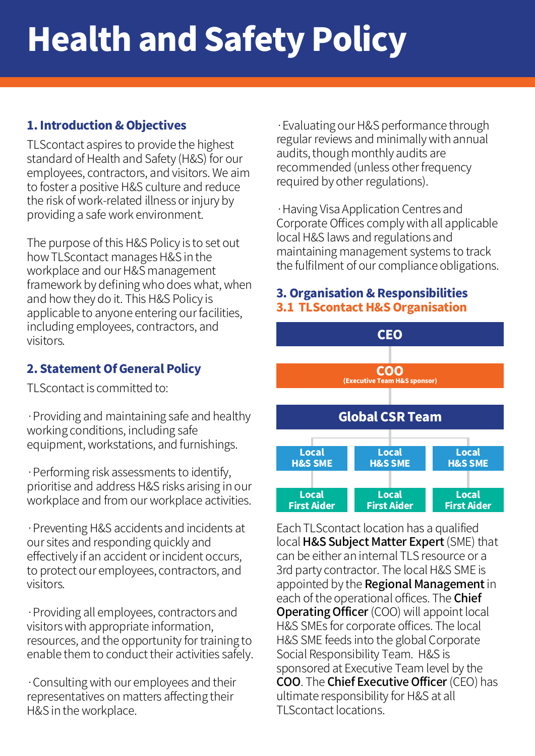# Health and Safety Policy

### 1. Introduction & Objectives

TLScontact aspires to provide the highest standard of Health and Safety (H&S) for our employees, contractors, and visitors. We aim to foster a positive H&S culture and reduce the risk of work-related illness or injury by providing a safe work environment.

The purpose of this H&S Policy is to set out how TLScontact manages H&S in the workplace and our H&S management framework by defining who does what, when and how they do it. This H&S Policy is applicable to anyone entering our facilities, including employees, contractors, and visitors.

### 2. Statement Of General Policy

TLScontact is committed to:

·Providing and maintaining safe and healthy working conditions, including safe equipment, workstations, and furnishings.

·Performing risk assessments to identify, prioritise and address H&S risks arising in our workplace and from our workplace activities.

·Preventing H&S accidents and incidents at our sites and responding quickly and effectively if an accident or incident occurs, to protect our employees, contractors, and visitors.

·Providing all employees, contractors and visitors with appropriate information, resources, and the opportunity for training to enable them to conduct their activities safely.

·Consulting with our employees and their representatives on matters affecting their H&S in the workplace.

·Evaluating our H&S performance through regular reviews and minimally with annual audits, though monthly audits are recommended (unless other frequency required by other regulations).

·Having Visa Application Centres and Corporate Offices comply with all applicable local H&S laws and regulations and maintaining management systems to track the fulfilment of our compliance obligations.

#### 3. Organisation & Responsibilities 3.1 TLScontact H&S Organisation



Each TLScontact location has a qualified local H&S Subject Matter Expert (SME) that can be either an internal TLS resource or a 3rd party contractor. The local H&S SME is appointed by the **Regional Management** in each of the operational offices. The **Chief Operating Officer** (COO) will appoint local H&S SMEs for corporate offices. The local H&S SME feeds into the global Corporate Social Responsibility Team. H&S is sponsored at Executive Team level by the COO. The Chief Executive Officer (CEO) has ultimate responsibility for H&S at all TLScontact locations.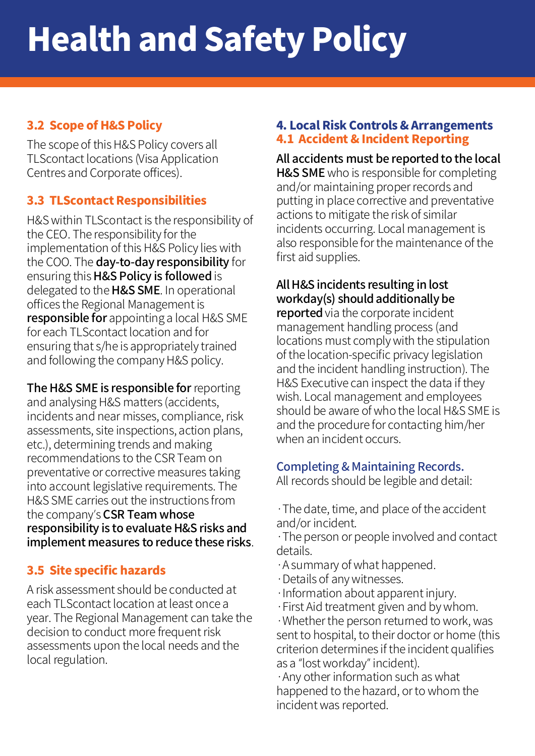## 3.2 Scope of H&S Policy

The scope of this H&S Policy covers all TLScontact locations (Visa Application Centres and Corporate offices).

## 3.3 TLScontact Responsibilities

H&S within TLScontact is the responsibility of the CEO. The responsibility for the implementation of this H&S Policy lies with the COO. The day-to-day responsibility for ensuring this H&S Policy is followed is delegated to the H&S SME. In operational offices the Regional Management is responsible for appointing a local H&S SME for each TLScontact location and for ensuring that s/he is appropriately trained and following the company H&S policy.

The H&S SME is responsible for reporting and analysing H&S matters (accidents, incidents and near misses, compliance, risk assessments, site inspections, action plans, etc.), determining trends and making recommendations to the CSR Team on preventative or corrective measures taking into account legislative requirements. The H&S SME carries out the instructions from the company's CSR Team whose responsibility is to evaluate H&S risks and implement measures to reduce these risks.

# 3.5 Site specific hazards

A risk assessment should be conducted at each TLScontact location at least once a year. The Regional Management can take the decision to conduct more frequent risk assessments upon the local needs and the local regulation.

#### 4. Local Risk Controls & Arrangements 4.1 Accident & Incident Reporting

All accidents must be reported to the local **H&S SME** who is responsible for completing and/or maintaining proper records and putting in place corrective and preventative actions to mitigate the risk of similar incidents occurring. Local management is also responsible for the maintenance of the first aid supplies.

## All H&S incidents resulting in lost workday(s) should additionally be

reported via the corporate incident management handling process (and locations must comply with the stipulation of the location-specific privacy legislation and the incident handling instruction). The H&S Executive can inspect the data if they wish. Local management and employees should be aware of who the local H&S SME is and the procedure for contacting him/her when an incident occurs.

## Completing & Maintaining Records.

All records should be legible and detail:

·The date, time, and place of the accident and/or incident.

·The person or people involved and contact details.

- ·A summary of what happened.
- ·Details of any witnesses.
- ·Information about apparent injury.
- ·First Aid treatment given and by whom.

·Whether the person returned to work, was sent to hospital, to their doctor or home (this criterion determines if the incident qualifies as a "lost workday" incident).

·Any other information such as what happened to the hazard, or to whom the incident was reported.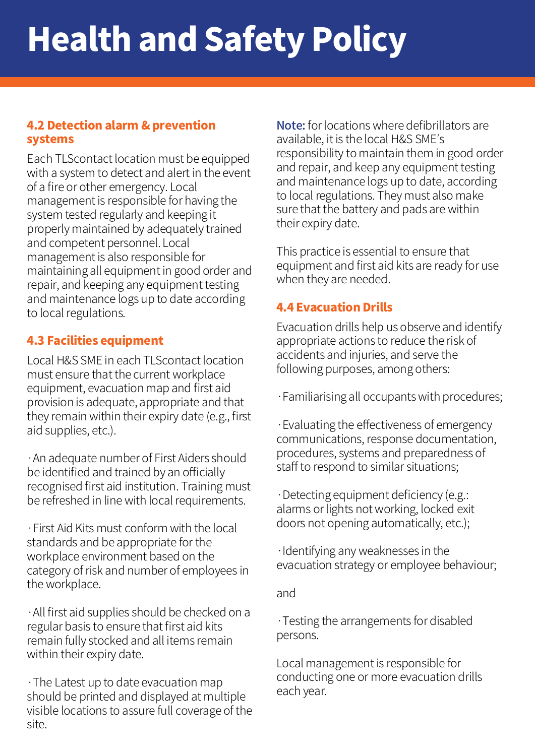# Health and Safety Policy

#### 4.2 Detection alarm & prevention systems

Each TLScontact location must be equipped with a system to detect and alert in the event of a fire or other emergency. Local management is responsible for having the system tested regularly and keeping it properly maintained by adequately trained and competent personnel. Local management is also responsible for maintaining all equipment in good order and repair, and keeping any equipment testing and maintenance logs up to date according to local regulations.

### 4.3 Facilities equipment

Local H&S SME in each TLScontact location must ensure that the current workplace equipment, evacuation map and first aid provision is adequate, appropriate and that they remain within their expiry date (e.g., first aid supplies, etc.).

·An adequate number of First Aiders should be identified and trained by an officially recognised first aid institution. Training must be refreshed in line with local requirements.

·First Aid Kits must conform with the local standards and be appropriate for the workplace environment based on the category of risk and number of employees in the workplace.

·All first aid supplies should be checked on a regular basis to ensure that first aid kits remain fully stocked and all items remain within their expiry date.

·The Latest up to date evacuation map should be printed and displayed at multiple visible locations to assure full coverage of the site.

Note: for locations where defibrillators are available, it is the local H&S SME's responsibility to maintain them in good order and repair, and keep any equipment testing and maintenance logs up to date, according to local regulations. They must also make sure that the battery and pads are within their expiry date.

This practice is essential to ensure that equipment and first aid kits are ready for use when they are needed.

#### 4.4 Evacuation Drills

Evacuation drills help us observe and identify appropriate actions to reduce the risk of accidents and injuries, and serve the following purposes, among others:

·Familiarising all occupants with procedures;

·Evaluating the effectiveness of emergency communications, response documentation, procedures, systems and preparedness of staff to respond to similar situations;

·Detecting equipment deficiency (e.g.: alarms or lights not working, locked exit doors not opening automatically, etc.);

·Identifying any weaknesses in the evacuation strategy or employee behaviour;

and

·Testing the arrangements for disabled persons.

Local management is responsible for conducting one or more evacuation drills each year.